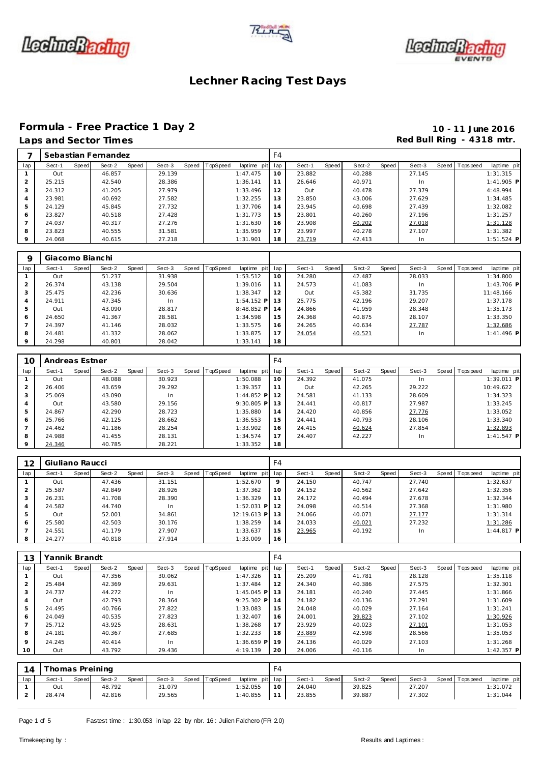





# **Formula - Free Practice 1 Day 2 10 - 11 June 2016**

## Red Bull Ring - 4318 mtr.

|         |        |              | Sebastian Fernandez |       |        |       |          |             | F4  |        |       |        |       |           |                 |              |
|---------|--------|--------------|---------------------|-------|--------|-------|----------|-------------|-----|--------|-------|--------|-------|-----------|-----------------|--------------|
| lap     | Sect-1 | <b>Speed</b> | Sect-2              | Speed | Sect-3 | Speed | TopSpeed | laptime pit | lap | Sect-1 | Speed | Sect-2 | Speed | Sect-3    | Speed Tops peed | laptime pit  |
|         | Out    |              | 46.857              |       | 29.139 |       |          | 1:47.475    | 10  | 23.882 |       | 40.288 |       | 27.145    |                 | 1:31.315     |
|         | 25.215 |              | 42.540              |       | 28.386 |       |          | 1:36.141    |     | 26.646 |       | 40.971 |       | <b>In</b> |                 | $1:41.905$ P |
| 3       | 24.312 |              | 41.205              |       | 27.979 |       |          | 1:33.496    | 12  | Out    |       | 40.478 |       | 27.379    |                 | 4:48.994     |
| 4       | 23.981 |              | 40.692              |       | 27.582 |       |          | 1:32.255    | 13  | 23.850 |       | 43.006 |       | 27.629    |                 | 1:34.485     |
|         | 24.129 |              | 45.845              |       | 27.732 |       |          | 1:37.706    | 14  | 23.945 |       | 40.698 |       | 27.439    |                 | 1:32.082     |
| 6       | 23.827 |              | 40.518              |       | 27.428 |       |          | 1:31.773    | 15  | 23.801 |       | 40.260 |       | 27.196    |                 | 1:31.257     |
|         | 24.037 |              | 40.317              |       | 27.276 |       |          | 1:31.630    | 16  | 23.908 |       | 40.202 |       | 27.018    |                 | 1:31.128     |
| 8       | 23.823 |              | 40.555              |       | 31.581 |       |          | 1:35.959    | 17  | 23.997 |       | 40.278 |       | 27.107    |                 | 1:31.382     |
| $\circ$ | 24.068 |              | 40.615              |       | 27.218 |       |          | 1:31.901    | 18  | 23.719 |       | 42.413 |       | In        |                 | $1:51.524$ P |

|                | Giacomo Bianchi |       |        |       |        |                  |              |     |        |       |        |       |        |                |              |  |
|----------------|-----------------|-------|--------|-------|--------|------------------|--------------|-----|--------|-------|--------|-------|--------|----------------|--------------|--|
| lap            | Sect-1          | Speed | Sect-2 | Speed | Sect-3 | Speed   TopSpeed | laptime pit  | lap | Sect-1 | Speed | Sect-2 | Speed | Sect-3 | Speed Topspeed | laptime pit  |  |
|                | Out             |       | 51.237 |       | 31.938 |                  | 1:53.512     | 10  | 24.280 |       | 42.487 |       | 28.033 |                | 1:34.800     |  |
| $\overline{2}$ | 26.374          |       | 43.138 |       | 29.504 |                  | 1:39.016     | 11  | 24.573 |       | 41.083 |       | In.    |                | $1:43.706$ P |  |
| 3              | 25.475          |       | 42.236 |       | 30.636 |                  | 1:38.347     | 12  | Out    |       | 45.382 |       | 31.735 |                | 11:48.166    |  |
| 4              | 24.911          |       | 47.345 |       | In     |                  | $1:54.152$ P | 13  | 25.775 |       | 42.196 |       | 29.207 |                | 1:37.178     |  |
| 5              | Out             |       | 43.090 |       | 28.817 |                  | $8:48.852$ P | 14  | 24.866 |       | 41.959 |       | 28.348 |                | 1:35.173     |  |
| 6              | 24.650          |       | 41.367 |       | 28.581 |                  | 1:34.598     | 15  | 24.368 |       | 40.875 |       | 28.107 |                | 1:33.350     |  |
|                | 24.397          |       | 41.146 |       | 28.032 |                  | 1:33.575     | 16  | 24.265 |       | 40.634 |       | 27.787 |                | 1:32.686     |  |
| 8              | 24.481          |       | 41.332 |       | 28.062 |                  | 1:33.875     | 17  | 24.054 |       | 40.521 |       | In.    |                | $1:41.496$ P |  |
| $\circ$        | 24.298          |       | 40.801 |       | 28.042 |                  | 1:33.141     | 18  |        |       |        |       |        |                |              |  |

| 10      | Andreas Estner |       |        |       |        |                  |              | F <sub>4</sub> |        |       |        |       |        |                 |              |
|---------|----------------|-------|--------|-------|--------|------------------|--------------|----------------|--------|-------|--------|-------|--------|-----------------|--------------|
| lap     | Sect-1         | Speed | Sect-2 | Speed | Sect-3 | Speed   TopSpeed | laptime pit  | lap            | Sect-1 | Speed | Sect-2 | Speed | Sect-3 | Speed Tops peed | laptime pit  |
|         | Out            |       | 48.088 |       | 30.923 |                  | 1:50.088     | 10             | 24.392 |       | 41.075 |       | In     |                 | $1:39.011$ P |
|         | 26.406         |       | 43.659 |       | 29.292 |                  | 1:39.357     | 11             | Out    |       | 42.265 |       | 29.222 |                 | 10:49.622    |
| 3       | 25.069         |       | 43.090 |       | In.    |                  | $1:44.852$ P | 12             | 24.581 |       | 41.133 |       | 28.609 |                 | 1:34.323     |
| 4       | Out            |       | 43.580 |       | 29.156 |                  | $9:30.805$ P | 13             | 24.441 |       | 40.817 |       | 27.987 |                 | 1:33.245     |
| 5       | 24.867         |       | 42.290 |       | 28.723 |                  | 1:35.880     | 14             | 24.420 |       | 40.856 |       | 27.776 |                 | 1:33.052     |
| 6       | 25.766         |       | 42.125 |       | 28.662 |                  | 1:36.553     | 15             | 24.441 |       | 40.793 |       | 28.106 |                 | 1:33.340     |
|         | 24.462         |       | 41.186 |       | 28.254 |                  | 1:33.902     | 16             | 24.415 |       | 40.624 |       | 27.854 |                 | 1:32.893     |
| 8       | 24.988         |       | 41.455 |       | 28.131 |                  | 1:34.574     | 17             | 24.407 |       | 42.227 |       | In.    |                 | $1:41.547$ P |
| $\circ$ | 24.346         |       | 40.785 |       | 28.221 |                  | 1:33.352     | 18             |        |       |        |       |        |                 |              |

| 12  | Giuliano Raucci |       |        |       |        |       |          |              | F4  |        |       |        |       |        |       |            |              |
|-----|-----------------|-------|--------|-------|--------|-------|----------|--------------|-----|--------|-------|--------|-------|--------|-------|------------|--------------|
| lap | Sect-1          | Speed | Sect-2 | Speed | Sect-3 | Speed | TopSpeed | laptime pit  | lap | Sect-1 | Speed | Sect-2 | Speed | Sect-3 | Speed | T ops peed | laptime pit  |
|     | Out             |       | 47.436 |       | 31.151 |       |          | 1:52.670     | 9   | 24.150 |       | 40.747 |       | 27.740 |       |            | 1:32.637     |
| 2   | 25.587          |       | 42.849 |       | 28.926 |       |          | 1:37.362     | 10  | 24.152 |       | 40.562 |       | 27.642 |       |            | 1:32.356     |
| 3   | 26.231          |       | 41.708 |       | 28.390 |       |          | 1:36.329     | 11  | 24.172 |       | 40.494 |       | 27.678 |       |            | 1:32.344     |
| 4   | 24.582          |       | 44.740 |       | In     |       |          | $1:52.031$ P | 12  | 24.098 |       | 40.514 |       | 27.368 |       |            | 1:31.980     |
| 5   | Out             |       | 52.001 |       | 34.861 |       |          | 12:19.613 P  | 13  | 24.066 |       | 40.071 |       | 27.177 |       |            | 1:31.314     |
| 6   | 25.580          |       | 42.503 |       | 30.176 |       |          | 1:38.259     | 14  | 24.033 |       | 40.021 |       | 27.232 |       |            | 1:31.286     |
|     | 24.551          |       | 41.179 |       | 27.907 |       |          | 1:33.637     | 15  | 23.965 |       | 40.192 |       | In.    |       |            | $1:44.817$ P |
| 8   | 24.277          |       | 40.818 |       | 27.914 |       |          | 1:33.009     | 16  |        |       |        |       |        |       |            |              |

| 13             | Yannik Brandt |       |        |       |        |       |          |              | F4  |        |       |        |       |        |       |             |              |
|----------------|---------------|-------|--------|-------|--------|-------|----------|--------------|-----|--------|-------|--------|-------|--------|-------|-------------|--------------|
| lap            | Sect-1        | Speed | Sect-2 | Speed | Sect-3 | Speed | TopSpeed | laptime pit  | lap | Sect-1 | Speed | Sect-2 | Speed | Sect-3 | Speed | T ops pee d | laptime pit  |
|                | Out           |       | 47.356 |       | 30.062 |       |          | 1:47.326     | 11  | 25.209 |       | 41.781 |       | 28.128 |       |             | 1:35.118     |
| $\overline{2}$ | 25.484        |       | 42.369 |       | 29.631 |       |          | 1:37.484     | 12  | 24.340 |       | 40.386 |       | 27.575 |       |             | 1:32.301     |
| 3              | 24.737        |       | 44.272 |       | In     |       |          | $1:45.045$ P | 13  | 24.181 |       | 40.240 |       | 27.445 |       |             | 1:31.866     |
| $\overline{4}$ | Out           |       | 42.793 |       | 28.364 |       |          | $9:25.302$ P | 14  | 24.182 |       | 40.136 |       | 27.291 |       |             | 1:31.609     |
| 5              | 24.495        |       | 40.766 |       | 27.822 |       |          | 1:33.083     | 15  | 24.048 |       | 40.029 |       | 27.164 |       |             | 1:31.241     |
| 6              | 24.049        |       | 40.535 |       | 27.823 |       |          | 1:32.407     | 16  | 24.001 |       | 39.823 |       | 27.102 |       |             | 1:30.926     |
|                | 25.712        |       | 43.925 |       | 28.631 |       |          | 1:38.268     | 17  | 23.929 |       | 40.023 |       | 27.101 |       |             | 1:31.053     |
| 8              | 24.181        |       | 40.367 |       | 27.685 |       |          | 1:32.233     | 18  | 23.889 |       | 42.598 |       | 28.566 |       |             | 1:35.053     |
| $\circ$        | 24.245        |       | 40.414 |       | In     |       |          | $1:36.659$ P | 19  | 24.136 |       | 40.029 |       | 27.103 |       |             | 1:31.268     |
| 10             | Out           |       | 43.792 |       | 29.436 |       |          | 4:19.139     | 20  | 24.006 |       | 40.116 |       | In     |       |             | $1:42.357$ P |

| 14  | Thomas Preining |       |        |              |        |                |                 | $-4$ |        |       |        |       |        |                   |             |  |
|-----|-----------------|-------|--------|--------------|--------|----------------|-----------------|------|--------|-------|--------|-------|--------|-------------------|-------------|--|
| lap | Sect-1          | Speed | Sect-2 | <b>Speed</b> | Sect-3 | Speed TopSpeed | laptime pit lap |      | Sect-1 | Speed | Sect-2 | Speed | Sect-3 | Speed   Tops peed | laptime pit |  |
|     | Out             |       | 48.792 |              | 31.079 |                | 1:52.055        | 10   | 24.040 |       | 39.825 |       | 27.207 |                   | 1:31.072    |  |
|     | 28.474          |       | 42.816 |              | 29.565 |                | 1:40.855        |      | 23.855 |       | 39.887 |       | 27.302 |                   | 1:31.044    |  |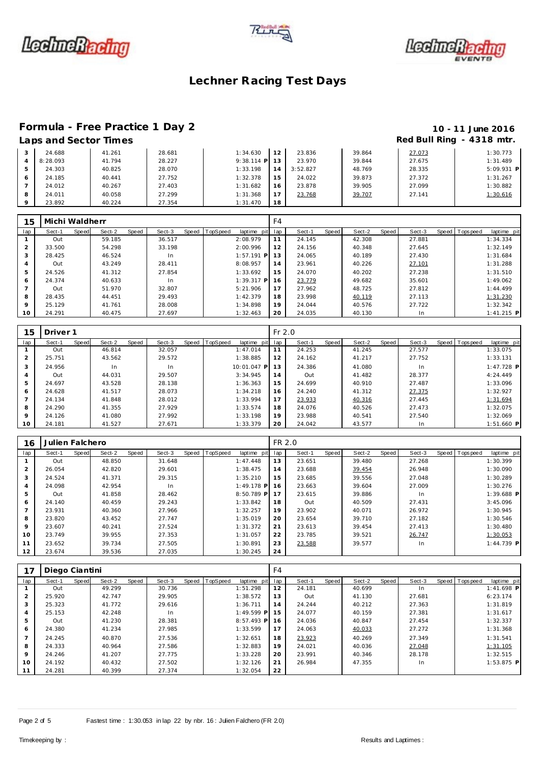





# **Formula - Free Practice 1 Day 2 10 - 11 June 2016**

## Red Bull Ring - 4318 mtr.

|   | __________ |        |        |              |    |          |        |        |            |
|---|------------|--------|--------|--------------|----|----------|--------|--------|------------|
|   | 24.688     | 41.261 | 28.681 | 1:34.630     |    | 23.836   | 39.864 | 27.073 | 1:30.773   |
| 4 | 8:28.093   | 41.794 | 28.227 | $9:38.114$ P | 13 | 23.970   | 39.844 | 27.675 | 1:31.489   |
|   | 24.303     | 40.825 | 28.070 | 1:33.198     | 14 | 3:52.827 | 48.769 | 28.335 | 5:09.931 F |
|   | 24.185     | 40.441 | 27.752 | 1:32.378     | -5 | 24.022   | 39.873 | 27.372 | 1:31.267   |
|   | 24.012     | 40.267 | 27.403 | 1:31.682     | 16 | 23.878   | 39.905 | 27.099 | 1:30.882   |
| 8 | 24.011     | 40.058 | 27.299 | 1:31.368     |    | 23.768   | 39.707 | 27.141 | 1:30.616   |
|   | 23.892     | 40.224 | 27.354 | 1:31.470     | 18 |          |        |        |            |

| 15  | Michi Waldherr |       |        |       |        |       |          |              | F4  |        |       |        |       |        |                |              |
|-----|----------------|-------|--------|-------|--------|-------|----------|--------------|-----|--------|-------|--------|-------|--------|----------------|--------------|
| lap | Sect-1         | Speed | Sect-2 | Speed | Sect-3 | Speed | TopSpeed | laptime pit  | lap | Sect-1 | Speed | Sect-2 | Speed | Sect-3 | Speed Topspeed | laptime pit  |
|     | Out            |       | 59.185 |       | 36.517 |       |          | 2:08.979     |     | 24.145 |       | 42.308 |       | 27.881 |                | 1:34.334     |
| 2   | 33.500         |       | 54.298 |       | 33.198 |       |          | 2:00.996     | 12  | 24.156 |       | 40.348 |       | 27.645 |                | 1:32.149     |
| 3   | 28.425         |       | 46.524 |       | In     |       |          | $1:57.191$ P | 13  | 24.065 |       | 40.189 |       | 27.430 |                | 1:31.684     |
| 4   | Out            |       | 43.249 |       | 28.411 |       |          | 8:08.957     | 14  | 23.961 |       | 40.226 |       | 27.101 |                | 1:31.288     |
| 5   | 24.526         |       | 41.312 |       | 27.854 |       |          | 1:33.692     | 15  | 24.070 |       | 40.202 |       | 27.238 |                | 1:31.510     |
| 6   | 24.374         |       | 40.633 |       | In     |       |          | $1:39.317$ P | 16  | 23.779 |       | 49.682 |       | 35.601 |                | 1:49.062     |
|     | Out            |       | 51.970 |       | 32.807 |       |          | 5:21.906     | 17  | 27.962 |       | 48.725 |       | 27.812 |                | 1:44.499     |
| 8   | 28.435         |       | 44.451 |       | 29.493 |       |          | 1:42.379     | 18  | 23.998 |       | 40.119 |       | 27.113 |                | 1:31.230     |
| 9   | 25.129         |       | 41.761 |       | 28.008 |       |          | 1:34.898     | 19  | 24.044 |       | 40.576 |       | 27.722 |                | 1:32.342     |
| 10  | 24.291         |       | 40.475 |       | 27.697 |       |          | 1:32.463     | 20  | 24.035 |       | 40.130 |       | In.    |                | $1:41.215$ P |

| 15              | Driver <sub>1</sub> |       |        |       |        |                |             | $Fr$ 2.0 |        |       |        |       |        |                |              |
|-----------------|---------------------|-------|--------|-------|--------|----------------|-------------|----------|--------|-------|--------|-------|--------|----------------|--------------|
| lap             | Sect-1              | Speed | Sect-2 | Speed | Sect-3 | Speed TopSpeed | laptime pit | lap      | Sect-1 | Speed | Sect-2 | Speed | Sect-3 | Speed Topspeed | laptime pit  |
|                 | Out                 |       | 46.814 |       | 32.057 |                | 1:47.014    | 11       | 24.253 |       | 41.245 |       | 27.577 |                | 1:33.075     |
| $\overline{2}$  | 25.751              |       | 43.562 |       | 29.572 |                | 1:38.885    | 12       | 24.162 |       | 41.217 |       | 27.752 |                | 1:33.131     |
| 3               | 24.956              |       | In     |       | In     |                | 10:01.047 P | 13       | 24.386 |       | 41.080 |       | In.    |                | $1:47.728$ P |
| 4               | Out                 |       | 44.031 |       | 29.507 |                | 3:34.945    | 14       | Out    |       | 41.482 |       | 28.377 |                | 4:24.449     |
| 5               | 24.697              |       | 43.528 |       | 28.138 |                | 1:36.363    | 15       | 24.699 |       | 40.910 |       | 27.487 |                | 1:33.096     |
| 6               | 24.628              |       | 41.517 |       | 28.073 |                | 1:34.218    | 16       | 24.240 |       | 41.312 |       | 27.375 |                | 1:32.927     |
|                 | 24.134              |       | 41.848 |       | 28.012 |                | 1:33.994    | 17       | 23.933 |       | 40.316 |       | 27.445 |                | 1:31.694     |
| 8               | 24.290              |       | 41.355 |       | 27.929 |                | 1:33.574    | 18       | 24.076 |       | 40.526 |       | 27.473 |                | 1:32.075     |
| 9               | 24.126              |       | 41.080 |       | 27.992 |                | 1:33.198    | 19       | 23.988 |       | 40.541 |       | 27.540 |                | 1:32.069     |
| 10 <sup>°</sup> | 24.181              |       | 41.527 |       | 27.671 |                | 1:33.379    | 20       | 24.042 |       | 43.577 |       | In.    |                | $1:51.660$ P |

| 16             | Julien Falchero |       |        |       |        |                |              | FR 2.0 |        |       |        |       |        |                  |              |
|----------------|-----------------|-------|--------|-------|--------|----------------|--------------|--------|--------|-------|--------|-------|--------|------------------|--------------|
| lap            | Sect-1          | Speed | Sect-2 | Speed | Sect-3 | Speed TopSpeed | laptime pit  | lap    | Sect-1 | Speed | Sect-2 | Speed | Sect-3 | Speed   Topspeed | laptime pit  |
|                | Out             |       | 48.850 |       | 31.648 |                | 1:47.448     | 13     | 23.651 |       | 39.480 |       | 27.268 |                  | 1:30.399     |
| $\overline{2}$ | 26.054          |       | 42.820 |       | 29.601 |                | 1:38.475     | 14     | 23.688 |       | 39.454 |       | 26.948 |                  | 1:30.090     |
| 3              | 24.524          |       | 41.371 |       | 29.315 |                | 1:35.210     | 15     | 23.685 |       | 39.556 |       | 27.048 |                  | 1:30.289     |
| 4              | 24.098          |       | 42.954 |       | In     |                | $1:49.178$ P | 16     | 23.663 |       | 39.604 |       | 27.009 |                  | 1:30.276     |
| 5              | Out             |       | 41.858 |       | 28.462 |                | 8:50.789 P   | 17     | 23.615 |       | 39.886 |       | In     |                  | $1:39.688$ P |
| 6              | 24.140          |       | 40.459 |       | 29.243 |                | 1:33.842     | 18     | Out    |       | 40.509 |       | 27.431 |                  | 3:45.096     |
|                | 23.931          |       | 40.360 |       | 27.966 |                | 1:32.257     | 19     | 23.902 |       | 40.071 |       | 26.972 |                  | 1:30.945     |
| 8              | 23.820          |       | 43.452 |       | 27.747 |                | 1:35.019     | 20     | 23.654 |       | 39.710 |       | 27.182 |                  | 1:30.546     |
| 9              | 23.607          |       | 40.241 |       | 27.524 |                | 1:31.372     | 21     | 23.613 |       | 39.454 |       | 27.413 |                  | 1:30.480     |
| 10             | 23.749          |       | 39.955 |       | 27.353 |                | 1:31.057     | 22     | 23.785 |       | 39.521 |       | 26.747 |                  | 1:30.053     |
| 11             | 23.652          |       | 39.734 |       | 27.505 |                | 1:30.891     | 23     | 23.588 |       | 39.577 |       | In     |                  | $1:44.739$ P |
| 12             | 23.674          |       | 39.536 |       | 27.035 |                | 1:30.245     | 24     |        |       |        |       |        |                  |              |

|                | Diego Ciantini |       |        |       |        |                |              | F <sub>4</sub> |        |       |        |       |        |                |              |
|----------------|----------------|-------|--------|-------|--------|----------------|--------------|----------------|--------|-------|--------|-------|--------|----------------|--------------|
| lap            | Sect-1         | Speed | Sect-2 | Speed | Sect-3 | Speed TopSpeed | laptime pit  | lap            | Sect-1 | Speed | Sect-2 | Speed | Sect-3 | Speed Topspeed | laptime pit  |
|                | Out            |       | 49.299 |       | 30.736 |                | 1:51.298     | 12             | 24.181 |       | 40.699 |       | In     |                | $1:41.698$ P |
| 2              | 25.920         |       | 42.747 |       | 29.905 |                | 1:38.572     | 13             | Out    |       | 41.130 |       | 27.681 |                | 6:23.174     |
| 3              | 25.323         |       | 41.772 |       | 29.616 |                | 1:36.711     | 14             | 24.244 |       | 40.212 |       | 27.363 |                | 1:31.819     |
| $\overline{4}$ | 25.153         |       | 42.248 |       | In.    |                | $1:49.599$ P | 15             | 24.077 |       | 40.159 |       | 27.381 |                | 1:31.617     |
| 5              | Out            |       | 41.230 |       | 28.381 |                | $8:57.493$ P | 16             | 24.036 |       | 40.847 |       | 27.454 |                | 1:32.337     |
| 6              | 24.380         |       | 41.234 |       | 27.985 |                | 1:33.599     | 17             | 24.063 |       | 40.033 |       | 27.272 |                | 1:31.368     |
|                | 24.245         |       | 40.870 |       | 27.536 |                | 1:32.651     | 18             | 23.923 |       | 40.269 |       | 27.349 |                | 1:31.541     |
| 8              | 24.333         |       | 40.964 |       | 27.586 |                | 1:32.883     | 19             | 24.021 |       | 40.036 |       | 27.048 |                | 1:31.105     |
| 9              | 24.246         |       | 41.207 |       | 27.775 |                | 1:33.228     | 20             | 23.991 |       | 40.346 |       | 28.178 |                | 1:32.515     |
| 10             | 24.192         |       | 40.432 |       | 27.502 |                | 1:32.126     | 21             | 26.984 |       | 47.355 |       | In.    |                | $1:53.875$ P |
| 11             | 24.281         |       | 40.399 |       | 27.374 |                | 1:32.054     | 22             |        |       |        |       |        |                |              |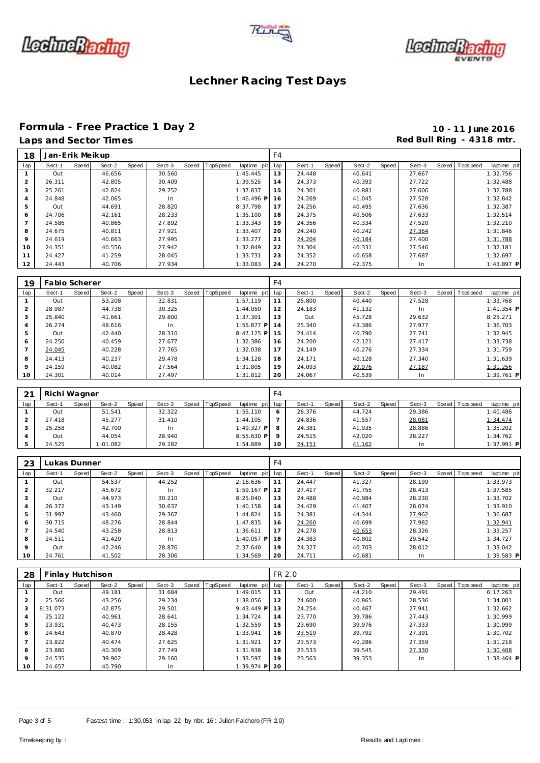





#### **Formula - Free Practice 1 Day 2 10 - 11 June 2016** Laps and Sector Times **Red Bull Ring - 4318 mtr. Red Bull Ring - 4318 mtr.**

| 18             | Jan-Erik Meikup |       |        |       |        |       |          |              | F <sub>4</sub> |        |       |        |       |        |                  |              |
|----------------|-----------------|-------|--------|-------|--------|-------|----------|--------------|----------------|--------|-------|--------|-------|--------|------------------|--------------|
| lap            | Sect-1          | Speed | Sect-2 | Speed | Sect-3 | Speed | TopSpeed | laptime pit  | lap            | Sect-1 | Speed | Sect-2 | Speed | Sect-3 | Speed   Topspeed | laptime pit  |
|                | Out             |       | 46.656 |       | 30.560 |       |          | 1:45.445     | 13             | 24.448 |       | 40.641 |       | 27.667 |                  | 1:32.756     |
| 2              | 26.311          |       | 42.805 |       | 30.409 |       |          | 1:39.525     | 14             | 24.373 |       | 40.393 |       | 27.722 |                  | 1:32.488     |
| 3              | 25.261          |       | 42.824 |       | 29.752 |       |          | 1:37.837     | 15             | 24.301 |       | 40.881 |       | 27.606 |                  | 1:32.788     |
| $\overline{4}$ | 24.848          |       | 42.065 |       | In     |       |          | $1:46.496$ P | 16             | 24.269 |       | 41.045 |       | 27.528 |                  | 1:32.842     |
| 5              | Out             |       | 44.691 |       | 28.820 |       |          | 8:37.798     | 17             | 24.256 |       | 40.495 |       | 27.636 |                  | 1:32.387     |
| 6              | 24.706          |       | 42.161 |       | 28.233 |       |          | 1:35.100     | 18             | 24.375 |       | 40.506 |       | 27.633 |                  | 1:32.514     |
|                | 24.586          |       | 40.865 |       | 27.892 |       |          | 1:33.343     | 19             | 24.356 |       | 40.334 |       | 27.520 |                  | 1:32.210     |
| 8              | 24.675          |       | 40.811 |       | 27.921 |       |          | 1:33.407     | 20             | 24.240 |       | 40.242 |       | 27.364 |                  | 1:31.846     |
| $\mathsf Q$    | 24.619          |       | 40.663 |       | 27.995 |       |          | 1:33.277     | 21             | 24.204 |       | 40.184 |       | 27.400 |                  | 1:31.788     |
| 10             | 24.351          |       | 40.556 |       | 27.942 |       |          | 1:32.849     | 22             | 24.304 |       | 40.331 |       | 27.546 |                  | 1:32.181     |
| 11             | 24.427          |       | 41.259 |       | 28.045 |       |          | 1:33.731     | 23             | 24.352 |       | 40.658 |       | 27.687 |                  | 1:32.697     |
| 12             | 24.443          |       | 40.706 |       | 27.934 |       |          | 1:33.083     | 24             | 24.270 |       | 42.375 |       | In.    |                  | $1:43.897$ P |

| 19      | Fabio Scherer |       |        |       |        |       |          |              | F <sub>4</sub> |        |       |        |       |        |       |            |              |
|---------|---------------|-------|--------|-------|--------|-------|----------|--------------|----------------|--------|-------|--------|-------|--------|-------|------------|--------------|
| lap     | Sect-1        | Speed | Sect-2 | Speed | Sect-3 | Speed | TopSpeed | laptime pit  | lap            | Sect-1 | Speed | Sect-2 | Speed | Sect-3 | Speed | T ops peed | laptime pit  |
|         | Out           |       | 53.208 |       | 32.831 |       |          | 1:57.119     |                | 25.800 |       | 40.440 |       | 27.528 |       |            | 1:33.768     |
|         | 28.987        |       | 44.738 |       | 30.325 |       |          | 1:44.050     | 12             | 24.183 |       | 41.132 |       | In     |       |            | $1:41.354$ P |
| 3       | 25.840        |       | 41.661 |       | 29.800 |       |          | 1:37.301     | 13             | Out    |       | 45.728 |       | 29.632 |       |            | 8:25.271     |
|         | 26.274        |       | 48.616 |       | In.    |       |          | $1:55.877$ P | 14             | 25.340 |       | 43.386 |       | 27.977 |       |            | 1:36.703     |
| 5       | Out           |       | 42.440 |       | 28.310 |       |          | $8:47.125$ P | 15             | 24.414 |       | 40.790 |       | 27.741 |       |            | 1:32.945     |
| 6       | 24.250        |       | 40.459 |       | 27.677 |       |          | 1:32.386     | 16             | 24.200 |       | 42.121 |       | 27.417 |       |            | 1:33.738     |
|         | 24.045        |       | 40.228 |       | 27.765 |       |          | 1:32.038     | 17             | 24.149 |       | 40.276 |       | 27.334 |       |            | 1:31.759     |
| 8       | 24.413        |       | 40.237 |       | 29.478 |       |          | 1:34.128     | 18             | 24.171 |       | 40.128 |       | 27.340 |       |            | 1:31.639     |
| $\circ$ | 24.159        |       | 40.082 |       | 27.564 |       |          | 1:31.805     | 19             | 24.093 |       | 39.976 |       | 27.187 |       |            | 1:31.256     |
| 10      | 24.301        |       | 40.014 |       | 27.497 |       |          | 1:31.812     | 20             | 24.067 |       | 40.539 |       | In.    |       |            | $1:39.761$ P |

| 21  | Richi Wagner |       |          |       |        |       |          |                 | F4 |        |       |        |       |        |                 |              |
|-----|--------------|-------|----------|-------|--------|-------|----------|-----------------|----|--------|-------|--------|-------|--------|-----------------|--------------|
| lap | Sect-1       | Speed | Sect-2   | Speed | Sect-3 | Speed | TopSpeed | laptime pit lap |    | Sect-1 | Speed | Sect-2 | Speed | Sect-3 | Speed Tops peed | laptime pit  |
|     | Out          |       | 51.541   |       | 32.322 |       |          | 1:55.110        |    | 26.376 |       | 44.724 |       | 29.386 |                 | 1:40.486     |
|     | 27.418       |       | 45.277   |       | 31.410 |       |          | 1:44.105        |    | 24.836 |       | 41.557 |       | 28.081 |                 | 1:34.474     |
|     | 25.258       |       | 42.700   |       | In     |       |          | 1:49.327 PI     |    | 24.381 |       | 41.935 |       | 28.886 |                 | 1:35.202     |
|     | Out          |       | 44.054   |       | 28.940 |       |          | $8:55.630$ P    |    | 24.515 |       | 42.020 |       | 28.227 |                 | 1:34.762     |
|     | 24.525       |       | 1:01.082 |       | 29.282 |       |          | 1:54.889        | 10 | 24.151 |       | 41.162 |       |        |                 | $1:37.991$ P |

| 23      | ukas Dunner. |       |        |       |        |       |                 |              | F4  |        |       |        |       |        |              |            |              |
|---------|--------------|-------|--------|-------|--------|-------|-----------------|--------------|-----|--------|-------|--------|-------|--------|--------------|------------|--------------|
| lap     | Sect-1       | Speed | Sect-2 | Speed | Sect-3 | Speed | <b>TopSpeed</b> | laptime pit  | lap | Sect-1 | Speed | Sect-2 | Speed | Sect-3 | <b>Speed</b> | T ops peed | laptime pit  |
|         | Out          |       | 54.537 |       | 44.252 |       |                 | 2:16.636     | 11  | 24.447 |       | 41.327 |       | 28.199 |              |            | 1:33.973     |
|         | 32.217       |       | 45.672 |       | In     |       |                 | $1:59.167$ P | 12  | 27.417 |       | 41.755 |       | 28.413 |              |            | 1:37.585     |
|         | Out          |       | 44.973 |       | 30.210 |       |                 | 8:25.040     | 13  | 24.488 |       | 40.984 |       | 28.230 |              |            | 1:33.702     |
|         | 26.372       |       | 43.149 |       | 30.637 |       |                 | 1:40.158     | 14  | 24.429 |       | 41.407 |       | 28.074 |              |            | 1:33.910     |
|         | 31.997       |       | 43.460 |       | 29.367 |       |                 | 1:44.824     | 15  | 24.381 |       | 44.344 |       | 27.962 |              |            | 1:36.687     |
| 6       | 30.715       |       | 48.276 |       | 28.844 |       |                 | 1:47.835     | 16  | 24.260 |       | 40.699 |       | 27.982 |              |            | 1:32.941     |
|         | 24.540       |       | 43.258 |       | 28.813 |       |                 | 1:36.611     | 17  | 24.278 |       | 40.653 |       | 28.326 |              |            | 1:33.257     |
| 8       | 24.511       |       | 41.420 |       | In     |       |                 | $1:40.057$ P | 18  | 24.383 |       | 40.802 |       | 29.542 |              |            | 1:34.727     |
| $\circ$ | Out          |       | 42.246 |       | 28.876 |       |                 | 2:37.640     | 19  | 24.327 |       | 40.703 |       | 28.012 |              |            | 1:33.042     |
| 10      | 24.761       |       | 41.502 |       | 28.306 |       |                 | 1:34.569     | 20  | 24.711 |       | 40.681 |       | In     |              |            | $1:39.583$ P |

| 28            | Finlay Hutchison |       |        |       |        |       |          |              | FR 2.0 |        |       |        |       |        |                 |              |
|---------------|------------------|-------|--------|-------|--------|-------|----------|--------------|--------|--------|-------|--------|-------|--------|-----------------|--------------|
| lap           | Sect-1           | Speed | Sect-2 | Speed | Sect-3 | Speed | TopSpeed | laptime pit  | lap    | Sect-1 | Speed | Sect-2 | Speed | Sect-3 | Speed Tops peed | laptime pit  |
|               | Out              |       | 49.181 |       | 31.684 |       |          | 1:49.015     | 11     | Out    |       | 44.210 |       | 29.491 |                 | 6:17.263     |
| $\mathcal{P}$ | 25.566           |       | 43.256 |       | 29.234 |       |          | 1:38.056     | 12     | 24.600 |       | 40.865 |       | 28.536 |                 | 1:34.001     |
| 3             | 8:31.073         |       | 42.875 |       | 29.501 |       |          | $9:43.449$ P | 13     | 24.254 |       | 40.467 |       | 27.941 |                 | 1:32.662     |
|               | 25.122           |       | 40.961 |       | 28.641 |       |          | 1:34.724     | 14     | 23.770 |       | 39.786 |       | 27.443 |                 | 1:30.999     |
| 5             | 23.931           |       | 40.473 |       | 28.155 |       |          | 1:32.559     | 15     | 23.690 |       | 39.976 |       | 27.333 |                 | 1:30.999     |
| 6             | 24.643           |       | 40.870 |       | 28.428 |       |          | 1:33.941     | 16     | 23.519 |       | 39.792 |       | 27.391 |                 | 1:30.702     |
|               | 23.822           |       | 40.474 |       | 27.625 |       |          | 1:31.921     | 17     | 23.573 |       | 40.286 |       | 27.359 |                 | 1:31.218     |
| 8             | 23.880           |       | 40.309 |       | 27.749 |       |          | 1:31.938     | 18     | 23.533 |       | 39.545 |       | 27.330 |                 | 1:30.408     |
| $\circ$       | 24.535           |       | 39.902 |       | 29.160 |       |          | 1:33.597     | 19     | 23.563 |       | 39.353 |       | In.    |                 | $1:38.464$ P |
| 10            | 24.657           |       | 40.790 |       | In.    |       |          | $1:39.974$ P | 20     |        |       |        |       |        |                 |              |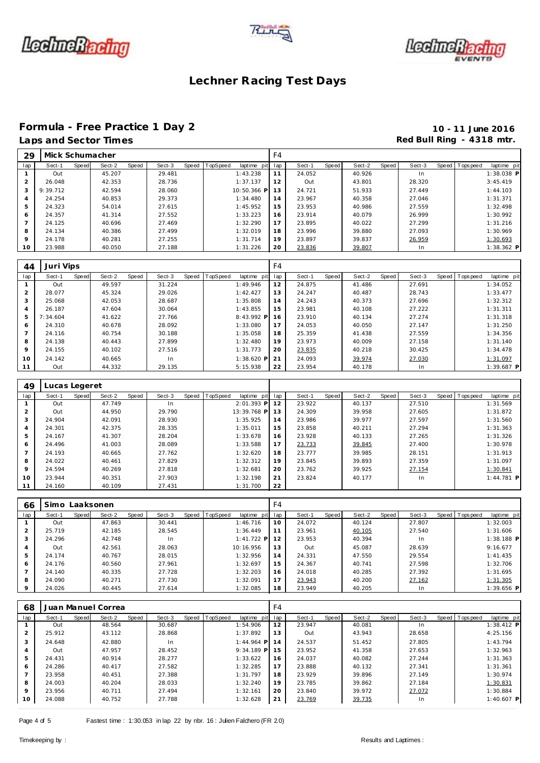





#### **Formula - Free Practice 1 Day 2 10 - 11 June 2016** Laps and Sector Times **Red Bull Ring - 4318 mtr. Red Bull Ring - 4318 mtr.**

| 29             |          |       | Mick Schumacher |       |        |       |          |                 | F <sub>4</sub> |        |         |        |       |        |                 |              |
|----------------|----------|-------|-----------------|-------|--------|-------|----------|-----------------|----------------|--------|---------|--------|-------|--------|-----------------|--------------|
| lap            | Sect-1   | Speed | Sect-2          | Speed | Sect-3 | Speed | TopSpeed | laptime pit lap |                | Sect-1 | Speed I | Sect-2 | Speed | Sect-3 | Speed Tops peed | laptime pit  |
|                | Out      |       | 45.207          |       | 29.481 |       |          | 1:43.238        | 11             | 24.052 |         | 40.926 |       | In     |                 | $1:38.038$ P |
|                | 26.048   |       | 42.353          |       | 28.736 |       |          | 1:37.137        | 12             | Out    |         | 43.801 |       | 28.320 |                 | 3:45.419     |
| 3              | 9:39.712 |       | 42.594          |       | 28.060 |       |          | 10:50.366 P     | 13             | 24.721 |         | 51.933 |       | 27.449 |                 | 1:44.103     |
| $\overline{4}$ | 24.254   |       | 40.853          |       | 29.373 |       |          | 1:34.480        | 14             | 23.967 |         | 40.358 |       | 27.046 |                 | 1:31.371     |
| 5              | 24.323   |       | 54.014          |       | 27.615 |       |          | 1:45.952        | 15             | 23.953 |         | 40.986 |       | 27.559 |                 | 1:32.498     |
| 6              | 24.357   |       | 41.314          |       | 27.552 |       |          | 1:33.223        | 16             | 23.914 |         | 40.079 |       | 26.999 |                 | 1:30.992     |
|                | 24.125   |       | 40.696          |       | 27.469 |       |          | 1:32.290        | 17             | 23.895 |         | 40.022 |       | 27.299 |                 | 1:31.216     |
| 8              | 24.134   |       | 40.386          |       | 27.499 |       |          | 1:32.019        | 18             | 23.996 |         | 39.880 |       | 27.093 |                 | 1:30.969     |
| 9              | 24.178   |       | 40.281          |       | 27.255 |       |          | 1:31.714        | 19             | 23.897 |         | 39.837 |       | 26.959 |                 | 1:30.693     |
| 10             | 23.988   |       | 40.050          |       | 27.188 |       |          | 1:31.226        | 20             | 23.836 |         | 39.807 |       | In     |                 | 1:38.362 P   |

| 44             | Juri Vips |       |        |       |        |       |          |              | F <sub>4</sub> |        |       |        |       |        |       |           |             |
|----------------|-----------|-------|--------|-------|--------|-------|----------|--------------|----------------|--------|-------|--------|-------|--------|-------|-----------|-------------|
| lap            | Sect-1    | Speed | Sect-2 | Speed | Sect-3 | Speed | TopSpeed | laptime pit  | lap            | Sect-1 | Speed | Sect-2 | Speed | Sect-3 | Speed | Tops peed | laptime pit |
|                | Out       |       | 49.597 |       | 31.224 |       |          | 1:49.946     | 12             | 24.875 |       | 41.486 |       | 27.691 |       |           | 1:34.052    |
| 2              | 28.077    |       | 45.324 |       | 29.026 |       |          | 1:42.427     | 13             | 24.247 |       | 40.487 |       | 28.743 |       |           | 1:33.477    |
| 3              | 25.068    |       | 42.053 |       | 28.687 |       |          | 1:35.808     | 14             | 24.243 |       | 40.373 |       | 27.696 |       |           | 1:32.312    |
| 4              | 26.187    |       | 47.604 |       | 30.064 |       |          | 1:43.855     | 15             | 23.981 |       | 40.108 |       | 27.222 |       |           | 1:31.311    |
| 5              | 7:34.604  |       | 41.622 |       | 27.766 |       |          | 8:43.992 P   | 16             | 23.910 |       | 40.134 |       | 27.274 |       |           | 1:31.318    |
| 6              | 24.310    |       | 40.678 |       | 28.092 |       |          | 1:33.080     | 17             | 24.053 |       | 40.050 |       | 27.147 |       |           | 1:31.250    |
| $\overline{7}$ | 24.116    |       | 40.754 |       | 30.188 |       |          | 1:35.058     | 18             | 25.359 |       | 41.438 |       | 27.559 |       |           | 1:34.356    |
| 8              | 24.138    |       | 40.443 |       | 27.899 |       |          | 1:32.480     | 19             | 23.973 |       | 40.009 |       | 27.158 |       |           | 1:31.140    |
| $\mathbf Q$    | 24.155    |       | 40.102 |       | 27.516 |       |          | 1:31.773     | 20             | 23.835 |       | 40.218 |       | 30.425 |       |           | 1:34.478    |
| 10             | 24.142    |       | 40.665 |       | In     |       |          | $1:38.620$ P | 21             | 24.093 |       | 39.974 |       | 27.030 |       |           | 1:31.097    |
| 11             | Out       |       | 44.332 |       | 29.135 |       |          | 5:15.938     | 22             | 23.954 |       | 40.178 |       | In.    |       |           | 1:39.687 P  |

| 49             | Lucas Legeret |       |        |       |        |                |             |     |        |       |        |       |        |                |              |
|----------------|---------------|-------|--------|-------|--------|----------------|-------------|-----|--------|-------|--------|-------|--------|----------------|--------------|
| lap            | Sect-1        | Speed | Sect-2 | Speed | Sect-3 | Speed TopSpeed | laptime pit | lap | Sect-1 | Speed | Sect-2 | Speed | Sect-3 | Speed Topspeed | laptime pit  |
|                | Out           |       | 47.749 |       | In     |                | 2:01.393 P  | 12  | 23.922 |       | 40.137 |       | 27.510 |                | 1:31.569     |
| $\overline{2}$ | Out           |       | 44.950 |       | 29.790 |                | 13:39.768 P | 13  | 24.309 |       | 39.958 |       | 27.605 |                | 1:31.872     |
| 3              | 24.904        |       | 42.091 |       | 28.930 |                | 1:35.925    | 14  | 23.986 |       | 39.977 |       | 27.597 |                | 1:31.560     |
| 4              | 24.301        |       | 42.375 |       | 28.335 |                | 1:35.011    | 15  | 23.858 |       | 40.211 |       | 27.294 |                | 1:31.363     |
| 5              | 24.167        |       | 41.307 |       | 28.204 |                | 1:33.678    | 16  | 23.928 |       | 40.133 |       | 27.265 |                | 1:31.326     |
| 6              | 24.496        |       | 41.003 |       | 28.089 |                | 1:33.588    | 17  | 23.733 |       | 39.845 |       | 27.400 |                | 1:30.978     |
|                | 24.193        |       | 40.665 |       | 27.762 |                | 1:32.620    | 18  | 23.777 |       | 39.985 |       | 28.151 |                | 1:31.913     |
| 8              | 24.022        |       | 40.461 |       | 27.829 |                | 1:32.312    | 19  | 23.845 |       | 39.893 |       | 27.359 |                | 1:31.097     |
| 9              | 24.594        |       | 40.269 |       | 27.818 |                | 1:32.681    | 20  | 23.762 |       | 39.925 |       | 27.154 |                | 1:30.841     |
| 10             | 23.944        |       | 40.351 |       | 27.903 |                | 1:32.198    | 21  | 23.824 |       | 40.177 |       | In     |                | $1:44.781$ P |
| 11             | 24.160        |       | 40.109 |       | 27.431 |                | 1:31.700    | 22  |        |       |        |       |        |                |              |

| 66      | Simo Laaksonen |       |        |       |        |                |                 | F4 |        |       |        |       |        |                |              |
|---------|----------------|-------|--------|-------|--------|----------------|-----------------|----|--------|-------|--------|-------|--------|----------------|--------------|
| lap     | Sect-1         | Speed | Sect-2 | Speed | Sect-3 | Speed TopSpeed | laptime pit lap |    | Sect-1 | Speed | Sect-2 | Speed | Sect-3 | Speed Topspeed | laptime pit  |
|         | Out            |       | 47.863 |       | 30.441 |                | 1:46.716        | 10 | 24.072 |       | 40.124 |       | 27.807 |                | 1:32.003     |
|         | 25.719         |       | 42.185 |       | 28.545 |                | 1:36.449        | 11 | 23.961 |       | 40.105 |       | 27.540 |                | 1:31.606     |
| 3       | 24.296         |       | 42.748 |       | In     |                | $1:41.722$ P    | 12 | 23.953 |       | 40.394 |       | In.    |                | $1:38.188$ P |
| 4       | Out            |       | 42.561 |       | 28.063 |                | 10:16.956       | 13 | Out    |       | 45.087 |       | 28.639 |                | 9:16.677     |
| 5       | 24.174         |       | 40.767 |       | 28.015 |                | 1:32.956        | 14 | 24.331 |       | 47.550 |       | 29.554 |                | 1:41.435     |
| 6       | 24.176         |       | 40.560 |       | 27.961 |                | 1:32.697        | 15 | 24.367 |       | 40.741 |       | 27.598 |                | 1:32.706     |
|         | 24.140         |       | 40.335 |       | 27.728 |                | 1:32.203        | 16 | 24.018 |       | 40.285 |       | 27.392 |                | 1:31.695     |
| 8       | 24.090         |       | 40.271 |       | 27.730 |                | 1:32.091        | 17 | 23.943 |       | 40.200 |       | 27.162 |                | 1:31.305     |
| $\circ$ | 24.026         |       | 40.445 |       | 27.614 |                | 1:32.085        | 18 | 23.949 |       | 40.205 |       |        |                | $1:39.656$ P |

| 68             |        |       | Juan Manuel Correa |       |        |                  |              | F4  |        |       |        |       |           |                   |              |
|----------------|--------|-------|--------------------|-------|--------|------------------|--------------|-----|--------|-------|--------|-------|-----------|-------------------|--------------|
| lap            | Sect-1 | Speed | Sect-2             | Speed | Sect-3 | Speed   TopSpeed | laptime pit  | lap | Sect-1 | Speed | Sect-2 | Speed | Sect-3    | Speed   Tops peed | laptime pit  |
|                | Out    |       | 48.564             |       | 30.687 |                  | 1:54.906     | 12  | 23.947 |       | 40.081 |       | In        |                   | $1:38.412$ P |
| $\overline{2}$ | 25.912 |       | 43.112             |       | 28.868 |                  | 1:37.892     | 13  | Out    |       | 43.943 |       | 28.658    |                   | 4:25.156     |
| 3              | 24.648 |       | 42.880             |       | In.    |                  | $1:44.964$ P | 14  | 24.537 |       | 51.452 |       | 27.805    |                   | 1:43.794     |
| 4              | Out    |       | 47.957             |       | 28.452 |                  | $9:34.189$ P | 15  | 23.952 |       | 41.358 |       | 27.653    |                   | 1:32.963     |
| 5              | 24.431 |       | 40.914             |       | 28.277 |                  | 1:33.622     | 16  | 24.037 |       | 40.082 |       | 27.244    |                   | 1:31.363     |
| 6              | 24.286 |       | 40.417             |       | 27.582 |                  | 1:32.285     | 17  | 23.888 |       | 40.132 |       | 27.341    |                   | 1:31.361     |
|                | 23.958 |       | 40.451             |       | 27.388 |                  | 1:31.797     | 18  | 23.929 |       | 39.896 |       | 27.149    |                   | 1:30.974     |
| 8              | 24.003 |       | 40.204             |       | 28.033 |                  | 1:32.240     | 19  | 23.785 |       | 39.862 |       | 27.184    |                   | 1:30.831     |
| 9              | 23.956 |       | 40.711             |       | 27.494 |                  | 1:32.161     | 20  | 23.840 |       | 39.972 |       | 27.072    |                   | 1:30.884     |
| 10             | 24.088 |       | 40.752             |       | 27.788 |                  | 1:32.628     | 21  | 23.769 |       | 39.735 |       | <b>In</b> |                   | $1:40.607$ P |